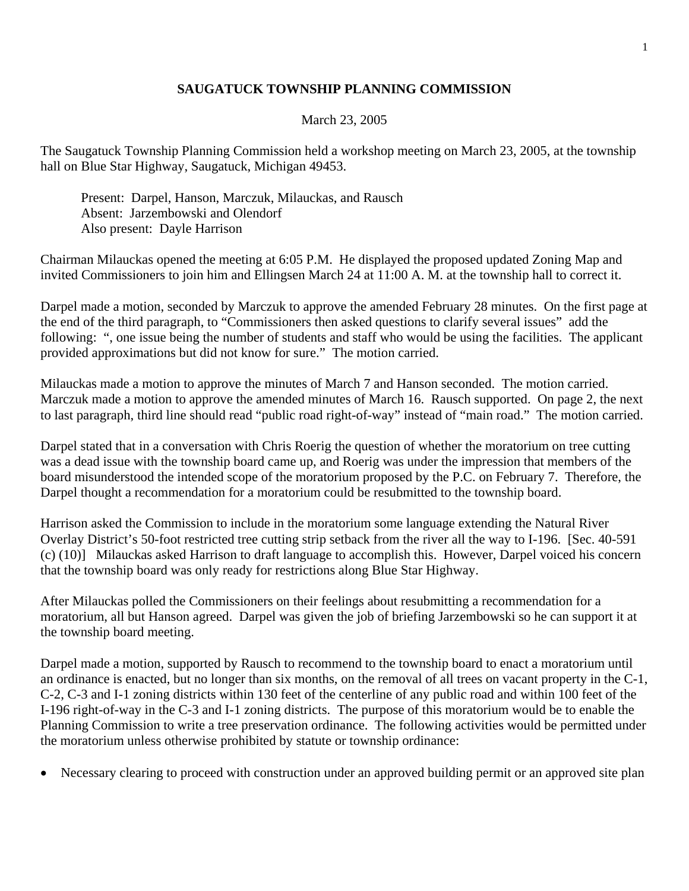## **SAUGATUCK TOWNSHIP PLANNING COMMISSION**

## March 23, 2005

The Saugatuck Township Planning Commission held a workshop meeting on March 23, 2005, at the township hall on Blue Star Highway, Saugatuck, Michigan 49453.

 Present: Darpel, Hanson, Marczuk, Milauckas, and Rausch Absent: Jarzembowski and Olendorf Also present: Dayle Harrison

Chairman Milauckas opened the meeting at 6:05 P.M. He displayed the proposed updated Zoning Map and invited Commissioners to join him and Ellingsen March 24 at 11:00 A. M. at the township hall to correct it.

Darpel made a motion, seconded by Marczuk to approve the amended February 28 minutes. On the first page at the end of the third paragraph, to "Commissioners then asked questions to clarify several issues" add the following: ", one issue being the number of students and staff who would be using the facilities. The applicant provided approximations but did not know for sure." The motion carried.

Milauckas made a motion to approve the minutes of March 7 and Hanson seconded. The motion carried. Marczuk made a motion to approve the amended minutes of March 16. Rausch supported. On page 2, the next to last paragraph, third line should read "public road right-of-way" instead of "main road." The motion carried.

Darpel stated that in a conversation with Chris Roerig the question of whether the moratorium on tree cutting was a dead issue with the township board came up, and Roerig was under the impression that members of the board misunderstood the intended scope of the moratorium proposed by the P.C. on February 7. Therefore, the Darpel thought a recommendation for a moratorium could be resubmitted to the township board.

Harrison asked the Commission to include in the moratorium some language extending the Natural River Overlay District's 50-foot restricted tree cutting strip setback from the river all the way to I-196. [Sec. 40-591 (c) (10)] Milauckas asked Harrison to draft language to accomplish this. However, Darpel voiced his concern that the township board was only ready for restrictions along Blue Star Highway.

After Milauckas polled the Commissioners on their feelings about resubmitting a recommendation for a moratorium, all but Hanson agreed. Darpel was given the job of briefing Jarzembowski so he can support it at the township board meeting.

Darpel made a motion, supported by Rausch to recommend to the township board to enact a moratorium until an ordinance is enacted, but no longer than six months, on the removal of all trees on vacant property in the C-1, C-2, C-3 and I-1 zoning districts within 130 feet of the centerline of any public road and within 100 feet of the I-196 right-of-way in the C-3 and I-1 zoning districts. The purpose of this moratorium would be to enable the Planning Commission to write a tree preservation ordinance. The following activities would be permitted under the moratorium unless otherwise prohibited by statute or township ordinance:

• Necessary clearing to proceed with construction under an approved building permit or an approved site plan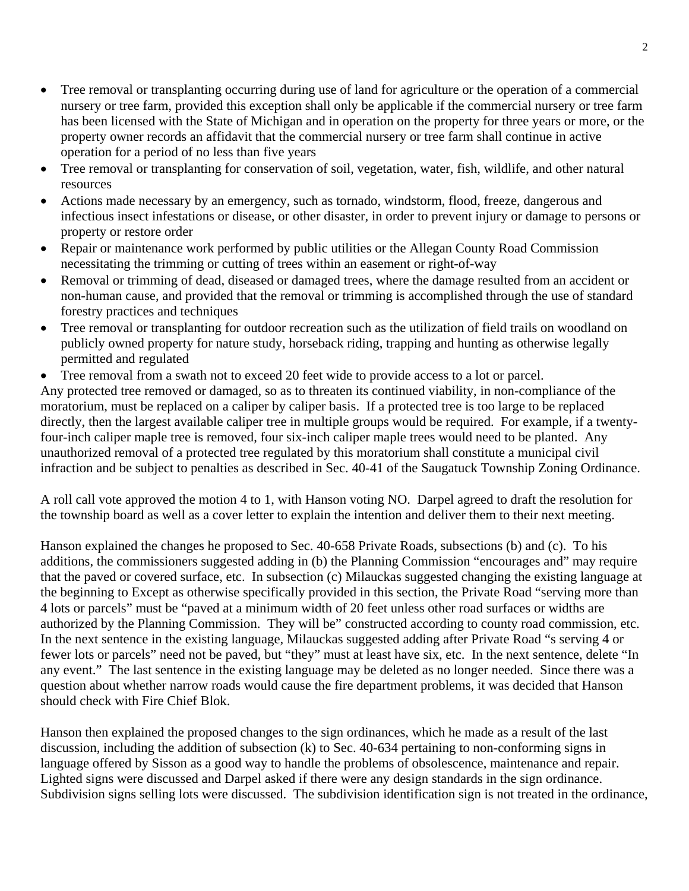- Tree removal or transplanting occurring during use of land for agriculture or the operation of a commercial nursery or tree farm, provided this exception shall only be applicable if the commercial nursery or tree farm has been licensed with the State of Michigan and in operation on the property for three years or more, or the property owner records an affidavit that the commercial nursery or tree farm shall continue in active operation for a period of no less than five years
- Tree removal or transplanting for conservation of soil, vegetation, water, fish, wildlife, and other natural resources
- Actions made necessary by an emergency, such as tornado, windstorm, flood, freeze, dangerous and infectious insect infestations or disease, or other disaster, in order to prevent injury or damage to persons or property or restore order
- Repair or maintenance work performed by public utilities or the Allegan County Road Commission necessitating the trimming or cutting of trees within an easement or right-of-way
- Removal or trimming of dead, diseased or damaged trees, where the damage resulted from an accident or non-human cause, and provided that the removal or trimming is accomplished through the use of standard forestry practices and techniques
- Tree removal or transplanting for outdoor recreation such as the utilization of field trails on woodland on publicly owned property for nature study, horseback riding, trapping and hunting as otherwise legally permitted and regulated
- Tree removal from a swath not to exceed 20 feet wide to provide access to a lot or parcel.

Any protected tree removed or damaged, so as to threaten its continued viability, in non-compliance of the moratorium, must be replaced on a caliper by caliper basis. If a protected tree is too large to be replaced directly, then the largest available caliper tree in multiple groups would be required. For example, if a twentyfour-inch caliper maple tree is removed, four six-inch caliper maple trees would need to be planted. Any unauthorized removal of a protected tree regulated by this moratorium shall constitute a municipal civil infraction and be subject to penalties as described in Sec. 40-41 of the Saugatuck Township Zoning Ordinance.

A roll call vote approved the motion 4 to 1, with Hanson voting NO. Darpel agreed to draft the resolution for the township board as well as a cover letter to explain the intention and deliver them to their next meeting.

Hanson explained the changes he proposed to Sec. 40-658 Private Roads, subsections (b) and (c). To his additions, the commissioners suggested adding in (b) the Planning Commission "encourages and" may require that the paved or covered surface, etc. In subsection (c) Milauckas suggested changing the existing language at the beginning to Except as otherwise specifically provided in this section, the Private Road "serving more than 4 lots or parcels" must be "paved at a minimum width of 20 feet unless other road surfaces or widths are authorized by the Planning Commission. They will be" constructed according to county road commission, etc. In the next sentence in the existing language, Milauckas suggested adding after Private Road "s serving 4 or fewer lots or parcels" need not be paved, but "they" must at least have six, etc. In the next sentence, delete "In any event." The last sentence in the existing language may be deleted as no longer needed. Since there was a question about whether narrow roads would cause the fire department problems, it was decided that Hanson should check with Fire Chief Blok.

Hanson then explained the proposed changes to the sign ordinances, which he made as a result of the last discussion, including the addition of subsection (k) to Sec. 40-634 pertaining to non-conforming signs in language offered by Sisson as a good way to handle the problems of obsolescence, maintenance and repair. Lighted signs were discussed and Darpel asked if there were any design standards in the sign ordinance. Subdivision signs selling lots were discussed. The subdivision identification sign is not treated in the ordinance,